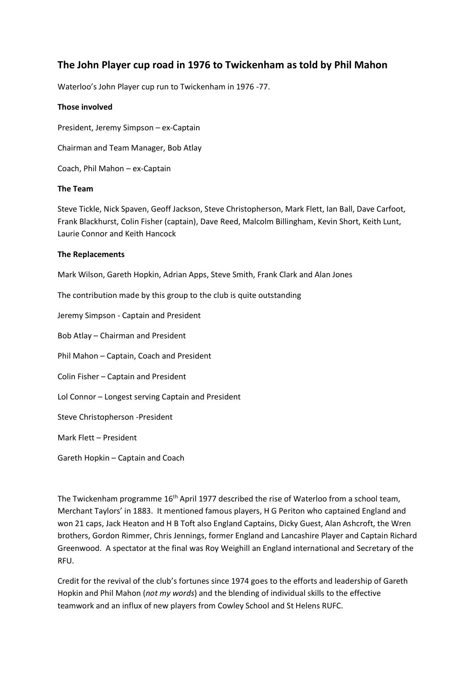# **The John Player cup road in 1976 to Twickenham as told by Phil Mahon**

Waterloo's John Player cup run to Twickenham in 1976 -77.

### **Those involved**

President, Jeremy Simpson – ex-Captain

Chairman and Team Manager, Bob Atlay

Coach, Phil Mahon – ex-Captain

### **The Team**

Steve Tickle, Nick Spaven, Geoff Jackson, Steve Christopherson, Mark Flett, Ian Ball, Dave Carfoot, Frank Blackhurst, Colin Fisher (captain), Dave Reed, Malcolm Billingham, Kevin Short, Keith Lunt, Laurie Connor and Keith Hancock

# **The Replacements**

Mark Wilson, Gareth Hopkin, Adrian Apps, Steve Smith, Frank Clark and Alan Jones

The contribution made by this group to the club is quite outstanding

Jeremy Simpson - Captain and President

Bob Atlay – Chairman and President

Phil Mahon – Captain, Coach and President

Colin Fisher – Captain and President

Lol Connor – Longest serving Captain and President

Steve Christopherson -President

Mark Flett – President

Gareth Hopkin – Captain and Coach

The Twickenham programme 16<sup>th</sup> April 1977 described the rise of Waterloo from a school team, Merchant Taylors' in 1883. It mentioned famous players, H G Periton who captained England and won 21 caps, Jack Heaton and H B Toft also England Captains, Dicky Guest, Alan Ashcroft, the Wren brothers, Gordon Rimmer, Chris Jennings, former England and Lancashire Player and Captain Richard Greenwood. A spectator at the final was Roy Weighill an England international and Secretary of the RFU.

Credit for the revival of the club's fortunes since 1974 goes to the efforts and leadership of Gareth Hopkin and Phil Mahon (*not my words*) and the blending of individual skills to the effective teamwork and an influx of new players from Cowley School and St Helens RUFC.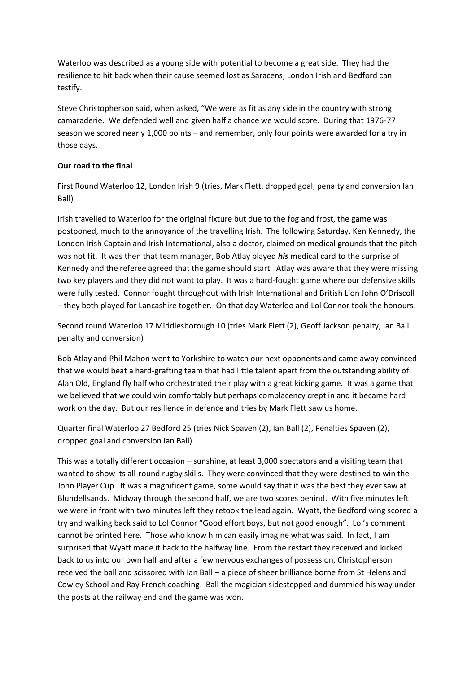Waterloo was described as a young side with potential to become a great side. They had the resilience to hit back when their cause seemed lost as Saracens, London Irish and Bedford can testify.

Steve Christopherson said, when asked, "We were as fit as any side in the country with strong camaraderie. We defended well and given half a chance we would score. During that 1976-77 season we scored nearly 1,000 points – and remember, only four points were awarded for a try in those days.

# **Our road to the final**

First Round Waterloo 12, London Irish 9 (tries, Mark Flett, dropped goal, penalty and conversion Ian Ball)

Irish travelled to Waterloo for the original fixture but due to the fog and frost, the game was postponed, much to the annoyance of the travelling Irish. The following Saturday, Ken Kennedy, the London Irish Captain and Irish International, also a doctor, claimed on medical grounds that the pitch was not fit. It was then that team manager, Bob Atlay played *his* medical card to the surprise of Kennedy and the referee agreed that the game should start. Atlay was aware that they were missing two key players and they did not want to play. It was a hard-fought game where our defensive skills were fully tested. Connor fought throughout with Irish International and British Lion John O'Driscoll – they both played for Lancashire together. On that day Waterloo and Lol Connor took the honours.

Second round Waterloo 17 Middlesborough 10 (tries Mark Flett (2), Geoff Jackson penalty, Ian Ball penalty and conversion)

Bob Atlay and Phil Mahon went to Yorkshire to watch our next opponents and came away convinced that we would beat a hard-grafting team that had little talent apart from the outstanding ability of Alan Old, England fly half who orchestrated their play with a great kicking game. It was a game that we believed that we could win comfortably but perhaps complacency crept in and it became hard work on the day. But our resilience in defence and tries by Mark Flett saw us home.

Quarter final Waterloo 27 Bedford 25 (tries Nick Spaven (2), Ian Ball (2), Penalties Spaven (2), dropped goal and conversion Ian Ball)

This was a totally different occasion – sunshine, at least 3,000 spectators and a visiting team that wanted to show its all-round rugby skills. They were convinced that they were destined to win the John Player Cup. It was a magnificent game, some would say that it was the best they ever saw at Blundellsands. Midway through the second half, we are two scores behind. With five minutes left we were in front with two minutes left they retook the lead again. Wyatt, the Bedford wing scored a try and walking back said to Lol Connor "Good effort boys, but not good enough". Lol's comment cannot be printed here. Those who know him can easily imagine what was said. In fact, I am surprised that Wyatt made it back to the halfway line. From the restart they received and kicked back to us into our own half and after a few nervous exchanges of possession, Christopherson received the ball and scissored with Ian Ball – a piece of sheer brilliance borne from St Helens and Cowley School and Ray French coaching. Ball the magician sidestepped and dummied his way under the posts at the railway end and the game was won.